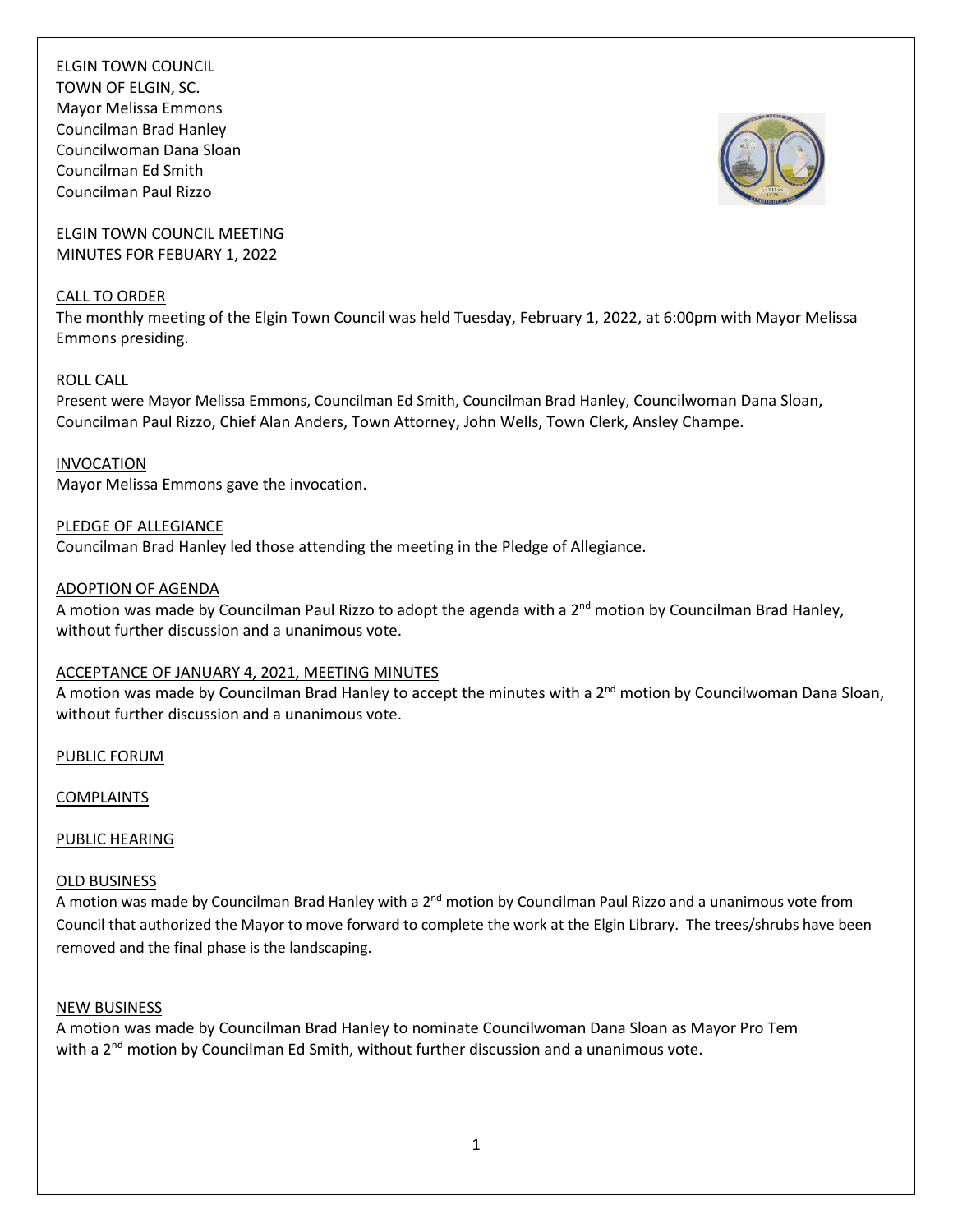ELGIN TOWN COUNCIL TOWN OF ELGIN, SC. Mayor Melissa Emmons Councilman Brad Hanley Councilwoman Dana Sloan Councilman Ed Smith Councilman Paul Rizzo

ELGIN TOWN COUNCIL MEETING MINUTES FOR FEBUARY 1, 2022

#### CALL TO ORDER

The monthly meeting of the Elgin Town Council was held Tuesday, February 1, 2022, at 6:00pm with Mayor Melissa Emmons presiding.

## ROLL CALL

Present were Mayor Melissa Emmons, Councilman Ed Smith, Councilman Brad Hanley, Councilwoman Dana Sloan, Councilman Paul Rizzo, Chief Alan Anders, Town Attorney, John Wells, Town Clerk, Ansley Champe.

#### INVOCATION

Mayor Melissa Emmons gave the invocation.

## PLEDGE OF ALLEGIANCE

Councilman Brad Hanley led those attending the meeting in the Pledge of Allegiance.

#### ADOPTION OF AGENDA

A motion was made by Councilman Paul Rizzo to adopt the agenda with a 2<sup>nd</sup> motion by Councilman Brad Hanley, without further discussion and a unanimous vote.

## ACCEPTANCE OF JANUARY 4, 2021, MEETING MINUTES

A motion was made by Councilman Brad Hanley to accept the minutes with a 2<sup>nd</sup> motion by Councilwoman Dana Sloan, without further discussion and a unanimous vote.

PUBLIC FORUM

COMPLAINTS

## PUBLIC HEARING

## OLD BUSINESS

A motion was made by Councilman Brad Hanley with a 2<sup>nd</sup> motion by Councilman Paul Rizzo and a unanimous vote from Council that authorized the Mayor to move forward to complete the work at the Elgin Library. The trees/shrubs have been removed and the final phase is the landscaping.

#### NEW BUSINESS

A motion was made by Councilman Brad Hanley to nominate Councilwoman Dana Sloan as Mayor Pro Tem with a 2<sup>nd</sup> motion by Councilman Ed Smith, without further discussion and a unanimous vote.